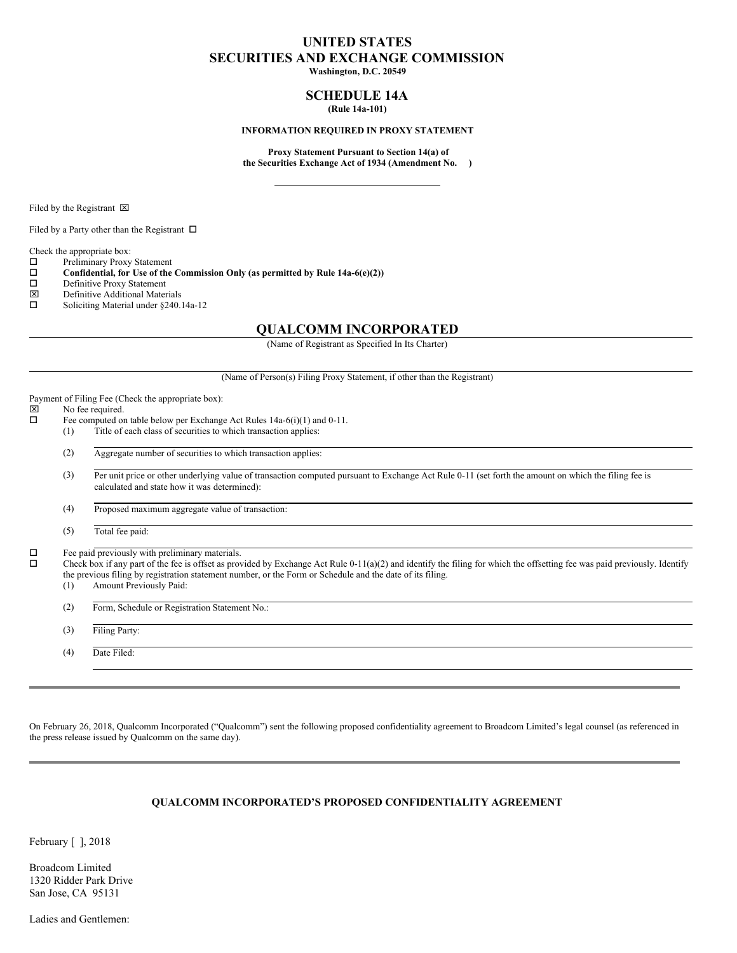## **UNITED STATES SECURITIES AND EXCHANGE COMMISSION**

**Washington, D.C. 20549**

#### **SCHEDULE 14A (Rule 14a-101)**

#### **INFORMATION REQUIRED IN PROXY STATEMENT**

**Proxy Statement Pursuant to Section 14(a) of the Securities Exchange Act of 1934 (Amendment No. )**

Filed by the Registrant  $\boxtimes$ 

Filed by a Party other than the Registrant  $\Box$ 

Check the appropriate box:

 $\square$  Preliminary Proxy Statement<br> $\square$  Confidential, for Use of the

**Confidential, for** Use of the Commission Only (as permitted by Rule 14a-6(e)(2))  $\Box$  Definitive Proxy Statement

- Definitive Proxy Statement
- $\boxtimes$  Definitive Additional Materials<br>  $\square$  Soliciting Material under \$240
- Soliciting Material under §240.14a-12

#### **QUALCOMM INCORPORATED**

(Name of Registrant as Specified In Its Charter)

|  |  |  | (Name of Person(s) Filing Proxy Statement, if other than the Registrant) |
|--|--|--|--------------------------------------------------------------------------|
|  |  |  |                                                                          |

Payment of Filing Fee (Check the appropriate box):<br> $\boxtimes$  No fee required.

# $\boxtimes$  No fee required.<br> $\Box$  Fee computed on

- Fee computed on table below per Exchange Act Rules 14a-6(i)(1) and 0-11. (1) Title of each class of securities to which transaction applies:
	- (2) Aggregate number of securities to which transaction applies:

(3) Per unit price or other underlying value of transaction computed pursuant to Exchange Act Rule 0-11 (set forth the amount on which the filing fee is calculated and state how it was determined):

(4) Proposed maximum aggregate value of transaction:

(5) Total fee paid:

 $\square$  Fee paid previously with preliminary materials.<br> $\square$  Check box if any part of the fee is offset as prov

o Check box if any part of the fee is offset as provided by Exchange Act Rule 0-11(a)(2) and identify the filing for which the offsetting fee was paid previously. Identify the previous filing by registration statement number, or the Form or Schedule and the date of its filing.

(1) Amount Previously Paid:

(2) Form, Schedule or Registration Statement No.:

(3) Filing Party:

(4) Date Filed:

On February 26, 2018, Qualcomm Incorporated ("Qualcomm") sent the following proposed confidentiality agreement to Broadcom Limited's legal counsel (as referenced in the press release issued by Qualcomm on the same day).

#### **QUALCOMM INCORPORATED'S PROPOSED CONFIDENTIALITY AGREEMENT**

February [ ], 2018

Broadcom Limited 1320 Ridder Park Drive San Jose, CA 95131

Ladies and Gentlemen: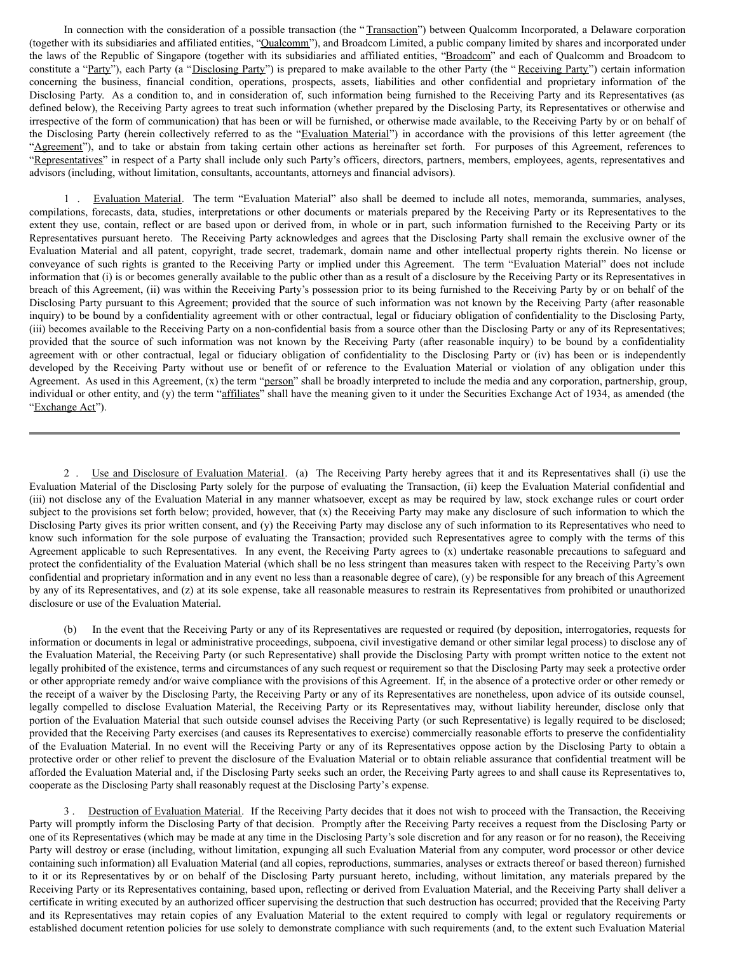In connection with the consideration of a possible transaction (the "Transaction") between Qualcomm Incorporated, a Delaware corporation (together with its subsidiaries and affiliated entities, "Qualcomm"), and Broadcom Limited, a public company limited by shares and incorporated under the laws of the Republic of Singapore (together with its subsidiaries and affiliated entities, "Broadcom" and each of Qualcomm and Broadcom to constitute a "Party"), each Party (a "Disclosing Party") is prepared to make available to the other Party (the "Receiving Party") certain information concerning the business, financial condition, operations, prospects, assets, liabilities and other confidential and proprietary information of the Disclosing Party. As a condition to, and in consideration of, such information being furnished to the Receiving Party and its Representatives (as defined below), the Receiving Party agrees to treat such information (whether prepared by the Disclosing Party, its Representatives or otherwise and irrespective of the form of communication) that has been or will be furnished, or otherwise made available, to the Receiving Party by or on behalf of the Disclosing Party (herein collectively referred to as the "Evaluation Material") in accordance with the provisions of this letter agreement (the "Agreement"), and to take or abstain from taking certain other actions as hereinafter set forth. For purposes of this Agreement, references to "Representatives" in respect of a Party shall include only such Party's officers, directors, partners, members, employees, agents, representatives and advisors (including, without limitation, consultants, accountants, attorneys and financial advisors).

1 . Evaluation Material. The term "Evaluation Material" also shall be deemed to include all notes, memoranda, summaries, analyses, compilations, forecasts, data, studies, interpretations or other documents or materials prepared by the Receiving Party or its Representatives to the extent they use, contain, reflect or are based upon or derived from, in whole or in part, such information furnished to the Receiving Party or its Representatives pursuant hereto. The Receiving Party acknowledges and agrees that the Disclosing Party shall remain the exclusive owner of the Evaluation Material and all patent, copyright, trade secret, trademark, domain name and other intellectual property rights therein. No license or conveyance of such rights is granted to the Receiving Party or implied under this Agreement. The term "Evaluation Material" does not include information that (i) is or becomes generally available to the public other than as a result of a disclosure by the Receiving Party or its Representatives in breach of this Agreement, (ii) was within the Receiving Party's possession prior to its being furnished to the Receiving Party by or on behalf of the Disclosing Party pursuant to this Agreement; provided that the source of such information was not known by the Receiving Party (after reasonable inquiry) to be bound by a confidentiality agreement with or other contractual, legal or fiduciary obligation of confidentiality to the Disclosing Party, (iii) becomes available to the Receiving Party on a non-confidential basis from a source other than the Disclosing Party or any of its Representatives; provided that the source of such information was not known by the Receiving Party (after reasonable inquiry) to be bound by a confidentiality agreement with or other contractual, legal or fiduciary obligation of confidentiality to the Disclosing Party or (iv) has been or is independently developed by the Receiving Party without use or benefit of or reference to the Evaluation Material or violation of any obligation under this Agreement. As used in this Agreement, (x) the term "person" shall be broadly interpreted to include the media and any corporation, partnership, group, individual or other entity, and (y) the term "affiliates" shall have the meaning given to it under the Securities Exchange Act of 1934, as amended (the "Exchange Act").

2 . Use and Disclosure of Evaluation Material. (a) The Receiving Party hereby agrees that it and its Representatives shall (i) use the Evaluation Material of the Disclosing Party solely for the purpose of evaluating the Transaction, (ii) keep the Evaluation Material confidential and (iii) not disclose any of the Evaluation Material in any manner whatsoever, except as may be required by law, stock exchange rules or court order subject to the provisions set forth below; provided, however, that (x) the Receiving Party may make any disclosure of such information to which the Disclosing Party gives its prior written consent, and (y) the Receiving Party may disclose any of such information to its Representatives who need to know such information for the sole purpose of evaluating the Transaction; provided such Representatives agree to comply with the terms of this Agreement applicable to such Representatives. In any event, the Receiving Party agrees to (x) undertake reasonable precautions to safeguard and protect the confidentiality of the Evaluation Material (which shall be no less stringent than measures taken with respect to the Receiving Party's own confidential and proprietary information and in any event no less than a reasonable degree of care), (y) be responsible for any breach of this Agreement by any of its Representatives, and (z) at its sole expense, take all reasonable measures to restrain its Representatives from prohibited or unauthorized disclosure or use of the Evaluation Material.

(b) In the event that the Receiving Party or any of its Representatives are requested or required (by deposition, interrogatories, requests for information or documents in legal or administrative proceedings, subpoena, civil investigative demand or other similar legal process) to disclose any of the Evaluation Material, the Receiving Party (or such Representative) shall provide the Disclosing Party with prompt written notice to the extent not legally prohibited of the existence, terms and circumstances of any such request or requirement so that the Disclosing Party may seek a protective order or other appropriate remedy and/or waive compliance with the provisions of this Agreement. If, in the absence of a protective order or other remedy or the receipt of a waiver by the Disclosing Party, the Receiving Party or any of its Representatives are nonetheless, upon advice of its outside counsel, legally compelled to disclose Evaluation Material, the Receiving Party or its Representatives may, without liability hereunder, disclose only that portion of the Evaluation Material that such outside counsel advises the Receiving Party (or such Representative) is legally required to be disclosed; provided that the Receiving Party exercises (and causes its Representatives to exercise) commercially reasonable efforts to preserve the confidentiality of the Evaluation Material. In no event will the Receiving Party or any of its Representatives oppose action by the Disclosing Party to obtain a protective order or other relief to prevent the disclosure of the Evaluation Material or to obtain reliable assurance that confidential treatment will be afforded the Evaluation Material and, if the Disclosing Party seeks such an order, the Receiving Party agrees to and shall cause its Representatives to, cooperate as the Disclosing Party shall reasonably request at the Disclosing Party's expense.

3 . Destruction of Evaluation Material. If the Receiving Party decides that it does not wish to proceed with the Transaction, the Receiving Party will promptly inform the Disclosing Party of that decision. Promptly after the Receiving Party receives a request from the Disclosing Party or one of its Representatives (which may be made at any time in the Disclosing Party's sole discretion and for any reason or for no reason), the Receiving Party will destroy or erase (including, without limitation, expunging all such Evaluation Material from any computer, word processor or other device containing such information) all Evaluation Material (and all copies, reproductions, summaries, analyses or extracts thereof or based thereon) furnished to it or its Representatives by or on behalf of the Disclosing Party pursuant hereto, including, without limitation, any materials prepared by the Receiving Party or its Representatives containing, based upon, reflecting or derived from Evaluation Material, and the Receiving Party shall deliver a certificate in writing executed by an authorized officer supervising the destruction that such destruction has occurred; provided that the Receiving Party and its Representatives may retain copies of any Evaluation Material to the extent required to comply with legal or regulatory requirements or established document retention policies for use solely to demonstrate compliance with such requirements (and, to the extent such Evaluation Material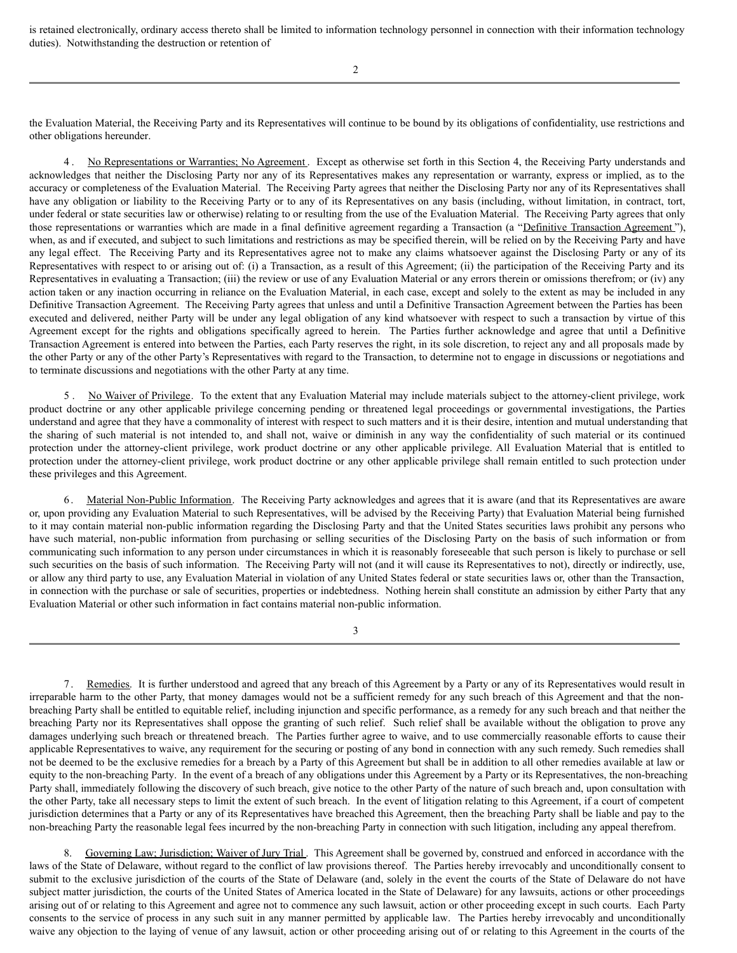is retained electronically, ordinary access thereto shall be limited to information technology personnel in connection with their information technology duties). Notwithstanding the destruction or retention of

2

the Evaluation Material, the Receiving Party and its Representatives will continue to be bound by its obligations of confidentiality, use restrictions and other obligations hereunder.

4. No Representations or Warranties; No Agreement. Except as otherwise set forth in this Section 4, the Receiving Party understands and acknowledges that neither the Disclosing Party nor any of its Representatives makes any representation or warranty, express or implied, as to the accuracy or completeness of the Evaluation Material. The Receiving Party agrees that neither the Disclosing Party nor any of its Representatives shall have any obligation or liability to the Receiving Party or to any of its Representatives on any basis (including, without limitation, in contract, tort, under federal or state securities law or otherwise) relating to or resulting from the use of the Evaluation Material. The Receiving Party agrees that only those representations or warranties which are made in a final definitive agreement regarding a Transaction (a "Definitive Transaction Agreement"), when, as and if executed, and subject to such limitations and restrictions as may be specified therein, will be relied on by the Receiving Party and have any legal effect. The Receiving Party and its Representatives agree not to make any claims whatsoever against the Disclosing Party or any of its Representatives with respect to or arising out of: (i) a Transaction, as a result of this Agreement; (ii) the participation of the Receiving Party and its Representatives in evaluating a Transaction; (iii) the review or use of any Evaluation Material or any errors therein or omissions therefrom; or (iv) any action taken or any inaction occurring in reliance on the Evaluation Material, in each case, except and solely to the extent as may be included in any Definitive Transaction Agreement. The Receiving Party agrees that unless and until a Definitive Transaction Agreement between the Parties has been executed and delivered, neither Party will be under any legal obligation of any kind whatsoever with respect to such a transaction by virtue of this Agreement except for the rights and obligations specifically agreed to herein. The Parties further acknowledge and agree that until a Definitive Transaction Agreement is entered into between the Parties, each Party reserves the right, in its sole discretion, to reject any and all proposals made by the other Party or any of the other Party's Representatives with regard to the Transaction, to determine not to engage in discussions or negotiations and to terminate discussions and negotiations with the other Party at any time.

5. No Waiver of Privilege. To the extent that any Evaluation Material may include materials subject to the attorney-client privilege, work product doctrine or any other applicable privilege concerning pending or threatened legal proceedings or governmental investigations, the Parties understand and agree that they have a commonality of interest with respect to such matters and it is their desire, intention and mutual understanding that the sharing of such material is not intended to, and shall not, waive or diminish in any way the confidentiality of such material or its continued protection under the attorney-client privilege, work product doctrine or any other applicable privilege. All Evaluation Material that is entitled to protection under the attorney-client privilege, work product doctrine or any other applicable privilege shall remain entitled to such protection under these privileges and this Agreement.

6. Material Non-Public Information. The Receiving Party acknowledges and agrees that it is aware (and that its Representatives are aware or, upon providing any Evaluation Material to such Representatives, will be advised by the Receiving Party) that Evaluation Material being furnished to it may contain material non-public information regarding the Disclosing Party and that the United States securities laws prohibit any persons who have such material, non-public information from purchasing or selling securities of the Disclosing Party on the basis of such information or from communicating such information to any person under circumstances in which it is reasonably foreseeable that such person is likely to purchase or sell such securities on the basis of such information. The Receiving Party will not (and it will cause its Representatives to not), directly or indirectly, use, or allow any third party to use, any Evaluation Material in violation of any United States federal or state securities laws or, other than the Transaction, in connection with the purchase or sale of securities, properties or indebtedness. Nothing herein shall constitute an admission by either Party that any Evaluation Material or other such information in fact contains material non-public information.

3

7. Remedies. It is further understood and agreed that any breach of this Agreement by a Party or any of its Representatives would result in irreparable harm to the other Party, that money damages would not be a sufficient remedy for any such breach of this Agreement and that the nonbreaching Party shall be entitled to equitable relief, including injunction and specific performance, as a remedy for any such breach and that neither the breaching Party nor its Representatives shall oppose the granting of such relief. Such relief shall be available without the obligation to prove any damages underlying such breach or threatened breach. The Parties further agree to waive, and to use commercially reasonable efforts to cause their applicable Representatives to waive, any requirement for the securing or posting of any bond in connection with any such remedy. Such remedies shall not be deemed to be the exclusive remedies for a breach by a Party of this Agreement but shall be in addition to all other remedies available at law or equity to the non-breaching Party. In the event of a breach of any obligations under this Agreement by a Party or its Representatives, the non-breaching Party shall, immediately following the discovery of such breach, give notice to the other Party of the nature of such breach and, upon consultation with the other Party, take all necessary steps to limit the extent of such breach. In the event of litigation relating to this Agreement, if a court of competent jurisdiction determines that a Party or any of its Representatives have breached this Agreement, then the breaching Party shall be liable and pay to the non-breaching Party the reasonable legal fees incurred by the non-breaching Party in connection with such litigation, including any appeal therefrom.

8. Governing Law; Jurisdiction; Waiver of Jury Trial. This Agreement shall be governed by, construed and enforced in accordance with the laws of the State of Delaware, without regard to the conflict of law provisions thereof. The Parties hereby irrevocably and unconditionally consent to submit to the exclusive jurisdiction of the courts of the State of Delaware (and, solely in the event the courts of the State of Delaware do not have subject matter jurisdiction, the courts of the United States of America located in the State of Delaware) for any lawsuits, actions or other proceedings arising out of or relating to this Agreement and agree not to commence any such lawsuit, action or other proceeding except in such courts. Each Party consents to the service of process in any such suit in any manner permitted by applicable law. The Parties hereby irrevocably and unconditionally waive any objection to the laying of venue of any lawsuit, action or other proceeding arising out of or relating to this Agreement in the courts of the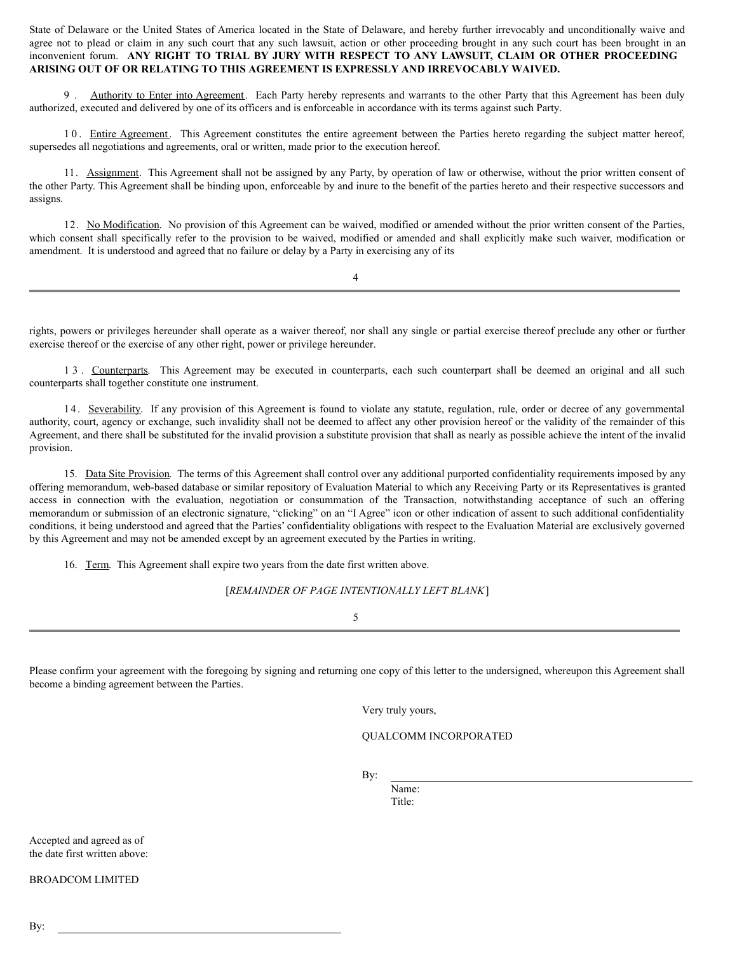State of Delaware or the United States of America located in the State of Delaware, and hereby further irrevocably and unconditionally waive and agree not to plead or claim in any such court that any such lawsuit, action or other proceeding brought in any such court has been brought in an inconvenient forum. **ANY RIGHT TO TRIAL BY JURY WITH RESPECT TO ANY LAWSUIT, CLAIM OR OTHER PROCEEDING ARISING OUT OF OR RELATING TO THIS AGREEMENT IS EXPRESSLY AND IRREVOCABLY WAIVED.**

9 . Authority to Enter into Agreement. Each Party hereby represents and warrants to the other Party that this Agreement has been duly authorized, executed and delivered by one of its officers and is enforceable in accordance with its terms against such Party.

10. Entire Agreement. This Agreement constitutes the entire agreement between the Parties hereto regarding the subject matter hereof, supersedes all negotiations and agreements, oral or written, made prior to the execution hereof.

11. Assignment. This Agreement shall not be assigned by any Party, by operation of law or otherwise, without the prior written consent of the other Party. This Agreement shall be binding upon, enforceable by and inure to the benefit of the parties hereto and their respective successors and assigns.

12. No Modification. No provision of this Agreement can be waived, modified or amended without the prior written consent of the Parties, which consent shall specifically refer to the provision to be waived, modified or amended and shall explicitly make such waiver, modification or amendment. It is understood and agreed that no failure or delay by a Party in exercising any of its

4

rights, powers or privileges hereunder shall operate as a waiver thereof, nor shall any single or partial exercise thereof preclude any other or further exercise thereof or the exercise of any other right, power or privilege hereunder.

1 3 . Counterparts. This Agreement may be executed in counterparts, each such counterpart shall be deemed an original and all such counterparts shall together constitute one instrument.

14. Severability. If any provision of this Agreement is found to violate any statute, regulation, rule, order or decree of any governmental authority, court, agency or exchange, such invalidity shall not be deemed to affect any other provision hereof or the validity of the remainder of this Agreement, and there shall be substituted for the invalid provision a substitute provision that shall as nearly as possible achieve the intent of the invalid provision.

15. Data Site Provision. The terms of this Agreement shall control over any additional purported confidentiality requirements imposed by any offering memorandum, web-based database or similar repository of Evaluation Material to which any Receiving Party or its Representatives is granted access in connection with the evaluation, negotiation or consummation of the Transaction, notwithstanding acceptance of such an offering memorandum or submission of an electronic signature, "clicking" on an "I Agree" icon or other indication of assent to such additional confidentiality conditions, it being understood and agreed that the Parties' confidentiality obligations with respect to the Evaluation Material are exclusively governed by this Agreement and may not be amended except by an agreement executed by the Parties in writing.

16. Term. This Agreement shall expire two years from the date first written above.

#### [*REMAINDER OF PAGE INTENTIONALLY LEFT BLANK*]

5

Please confirm your agreement with the foregoing by signing and returning one copy of this letter to the undersigned, whereupon this Agreement shall become a binding agreement between the Parties.

Very truly yours,

QUALCOMM INCORPORATED

By:

Name:

Title:

Accepted and agreed as of the date first written above:

BROADCOM LIMITED